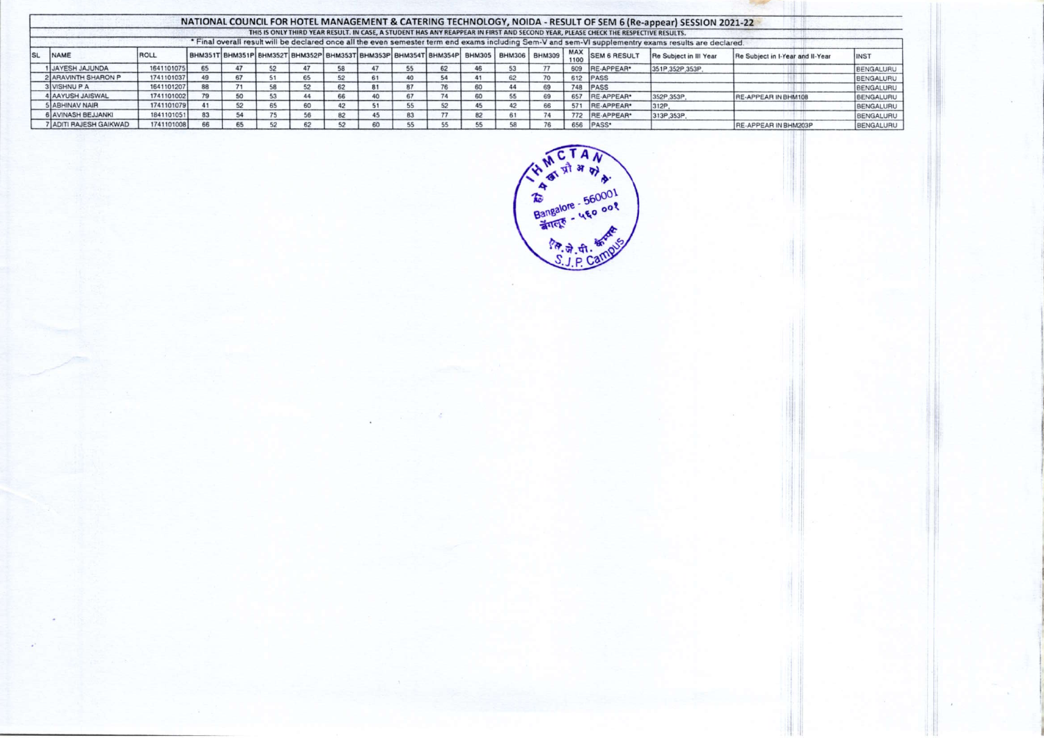|     | NATIONAL COUNCIL FOR HOTEL MANAGEMENT & CATERING TECHNOLOGY, NOIDA - RESULT OF SEM 6 (Re-appear) SESSION 2021-22                                      |            |  |    |  |    |    |  |                                                                                      |    |    |    |    |     |                       |                        |                                  |             |
|-----|-------------------------------------------------------------------------------------------------------------------------------------------------------|------------|--|----|--|----|----|--|--------------------------------------------------------------------------------------|----|----|----|----|-----|-----------------------|------------------------|----------------------------------|-------------|
|     | THIS IS ONLY THIRD YEAR RESULT. IN CASE, A STUDENT HAS ANY REAPPEAR IN FIRST AND SECOND YEAR, PLEASE CHECK THE RESPECTIVE RESULTS.                    |            |  |    |  |    |    |  |                                                                                      |    |    |    |    |     |                       |                        |                                  |             |
|     | * Final overall result will be declared once all the even semester term end exams including Sem-V and sem-VI supplementry exams results are declared. |            |  |    |  |    |    |  |                                                                                      |    |    |    |    |     |                       |                        |                                  |             |
| lsı | <b>NAME</b>                                                                                                                                           | ROLL       |  |    |  |    |    |  | BHM351T BHM351P BHM352T BHM352P BHM353T BHM353P BHM354T BHM354P BHM305 BHM306 BHM309 |    |    |    |    |     | 1209 MAX SEM 6 RESULT | Re Subject in III Year | Re Subject in I-Year and II-Year | <b>INST</b> |
|     | <b>1 JAYESH JAJUNDA</b>                                                                                                                               | 1641101075 |  |    |  |    |    |  |                                                                                      | 62 | 46 | 53 |    | 609 | RE-APPEAR*            | 351P.352P.353P         |                                  | BENGALURU   |
|     | 2 ARAVINTH SHARON P                                                                                                                                   | 1741101037 |  |    |  | 65 | 52 |  | 40                                                                                   | 54 | 41 | 62 | 70 |     | 612 PASS              |                        |                                  | BENGALURU   |
|     | 3 VISHNU P A                                                                                                                                          | 1641101207 |  |    |  | 52 | 62 |  | 87                                                                                   | 76 | 60 | 44 | 69 | 748 | <b>PASS</b>           |                        |                                  | BENGALURU   |
|     | 4 AAYUSH JAISWAL                                                                                                                                      | 1741101002 |  | 50 |  | 44 |    |  |                                                                                      | 74 | 60 | 55 | 69 | 657 | RE-APPEAR*            | 352P,353P              | RE-APPEAR IN BHM108              | BENGALURU   |
|     | <b>5 ABHINAV NAIR</b>                                                                                                                                 | 1741101079 |  | 52 |  | 60 |    |  |                                                                                      |    | 45 | 42 | 66 | 571 | RE-APPEAR*            | 312P                   |                                  | BENGALURU   |
|     | 6 AVINASH BEJJANKI                                                                                                                                    | 1841101051 |  |    |  |    |    |  | 83                                                                                   |    | 82 | 61 | 74 |     | 772 RE-APPEAR*        | 313P,353P              |                                  | BENGALURU   |
|     | 7 ADITI RAJESH GAIKWAD                                                                                                                                | 1741101008 |  |    |  | 62 |    |  |                                                                                      |    | 55 | 58 | 76 | 656 | PASS*                 |                        | <b>IRE-APPEAR IN BHM203P</b>     | BENGALURU   |



十里川